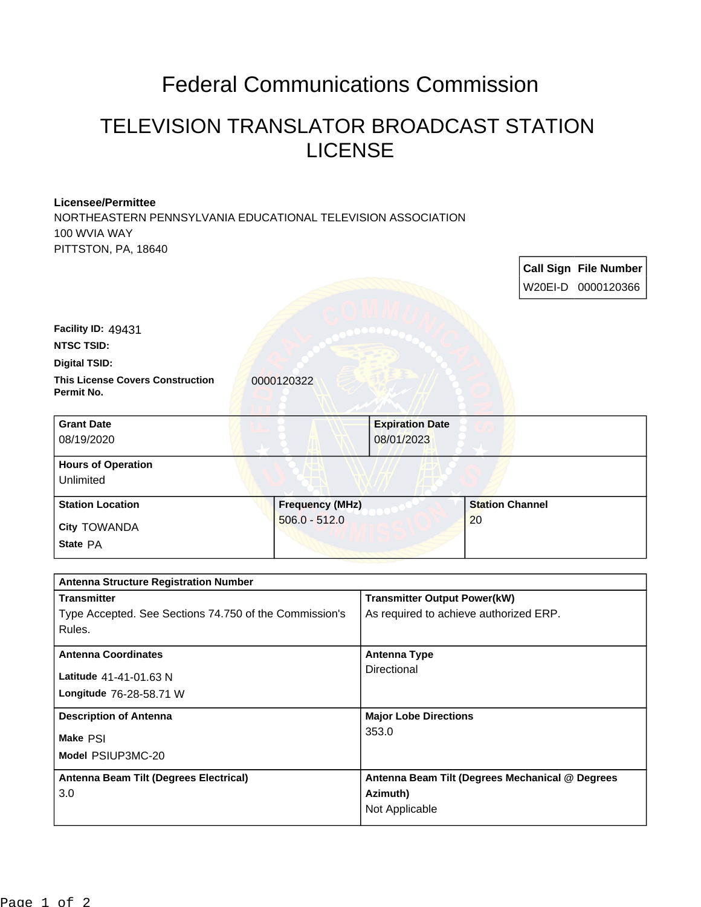## Federal Communications Commission

## TELEVISION TRANSLATOR BROADCAST STATION LICENSE

r

٦

## **Licensee/Permittee**

NORTHEASTERN PENNSYLVANIA EDUCATIONAL TELEVISION ASSOCIATION 100 WVIA WAY PITTSTON, PA, 18640

|                                                                    |                        |                                                 |                        |  | <b>Call Sign File Number</b><br>W20EI-D 0000120366 |
|--------------------------------------------------------------------|------------------------|-------------------------------------------------|------------------------|--|----------------------------------------------------|
| Facility ID: 49431                                                 |                        |                                                 |                        |  |                                                    |
| <b>NTSC TSID:</b>                                                  |                        |                                                 |                        |  |                                                    |
| <b>Digital TSID:</b>                                               |                        |                                                 |                        |  |                                                    |
| <b>This License Covers Construction</b><br>Permit No.              | 0000120322             |                                                 |                        |  |                                                    |
| <b>Grant Date</b><br>08/19/2020                                    |                        | <b>Expiration Date</b><br>08/01/2023            |                        |  |                                                    |
| <b>Hours of Operation</b><br>Unlimited                             |                        |                                                 |                        |  |                                                    |
| <b>Station Location</b>                                            | <b>Frequency (MHz)</b> |                                                 | <b>Station Channel</b> |  |                                                    |
| City TOWANDA                                                       | $506.0 - 512.0$        |                                                 | 20                     |  |                                                    |
| State PA                                                           |                        |                                                 |                        |  |                                                    |
|                                                                    |                        |                                                 |                        |  |                                                    |
| <b>Antenna Structure Registration Number</b><br><b>Transmitter</b> |                        | <b>Transmitter Output Power(kW)</b>             |                        |  |                                                    |
| Type Accepted. See Sections 74.750 of the Commission's             |                        | As required to achieve authorized ERP.          |                        |  |                                                    |
| Rules.                                                             |                        |                                                 |                        |  |                                                    |
| <b>Antenna Coordinates</b>                                         |                        | <b>Antenna Type</b>                             |                        |  |                                                    |
| Latitude 41-41-01.63 N                                             |                        | Directional                                     |                        |  |                                                    |
| Longitude 76-28-58.71 W                                            |                        |                                                 |                        |  |                                                    |
| <b>Description of Antenna</b>                                      |                        | <b>Major Lobe Directions</b>                    |                        |  |                                                    |
| Make PSI                                                           |                        | 353.0                                           |                        |  |                                                    |
| Model PSIUP3MC-20                                                  |                        |                                                 |                        |  |                                                    |
| Antenna Beam Tilt (Degrees Electrical)                             |                        | Antenna Beam Tilt (Degrees Mechanical @ Degrees |                        |  |                                                    |
| 3.0                                                                |                        | Azimuth)                                        |                        |  |                                                    |
|                                                                    |                        | Not Applicable                                  |                        |  |                                                    |